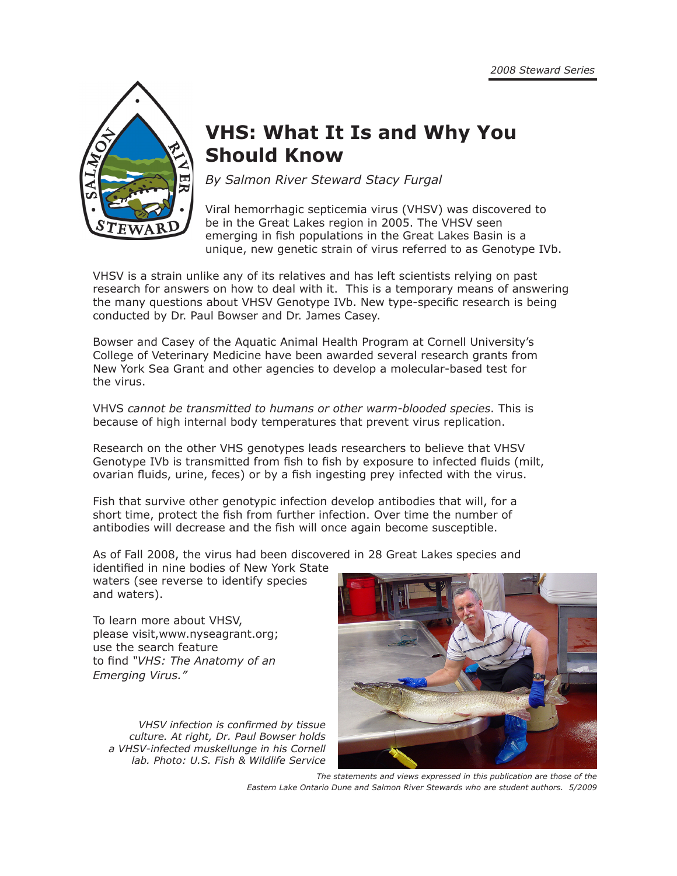

# **VHS: What It Is and Why You Should Know**

*By Salmon River Steward Stacy Furgal*

Viral hemorrhagic septicemia virus (VHSV) was discovered to be in the Great Lakes region in 2005. The VHSV seen emerging in fish populations in the Great Lakes Basin is a unique, new genetic strain of virus referred to as Genotype IVb.

VHSV is a strain unlike any of its relatives and has left scientists relying on past research for answers on how to deal with it. This is a temporary means of answering the many questions about VHSV Genotype IVb. New type-specific research is being conducted by Dr. Paul Bowser and Dr. James Casey.

Bowser and Casey of the Aquatic Animal Health Program at Cornell University's College of Veterinary Medicine have been awarded several research grants from New York Sea Grant and other agencies to develop a molecular-based test for the virus.

VHVS *cannot be transmitted to humans or other warm-blooded species*. This is because of high internal body temperatures that prevent virus replication.

Research on the other VHS genotypes leads researchers to believe that VHSV Genotype IVb is transmitted from fish to fish by exposure to infected fluids (milt, ovarian fluids, urine, feces) or by a fish ingesting prey infected with the virus.

Fish that survive other genotypic infection develop antibodies that will, for a short time, protect the fish from further infection. Over time the number of antibodies will decrease and the fish will once again become susceptible.

As of Fall 2008, the virus had been discovered in 28 Great Lakes species and identified in nine bodies of New York State

waters (see reverse to identify species and waters).

To learn more about VHSV, please visit,www.nyseagrant.org; use the search feature to find *"VHS: The Anatomy of an Emerging Virus."*

*VHSV infection is confirmed by tissue culture. At right, Dr. Paul Bowser holds a VHSV-infected muskellunge in his Cornell lab. Photo: U.S. Fish & Wildlife Service*



*The statements and views expressed in this publication are those of the Eastern Lake Ontario Dune and Salmon River Stewards who are student authors. 5/2009*